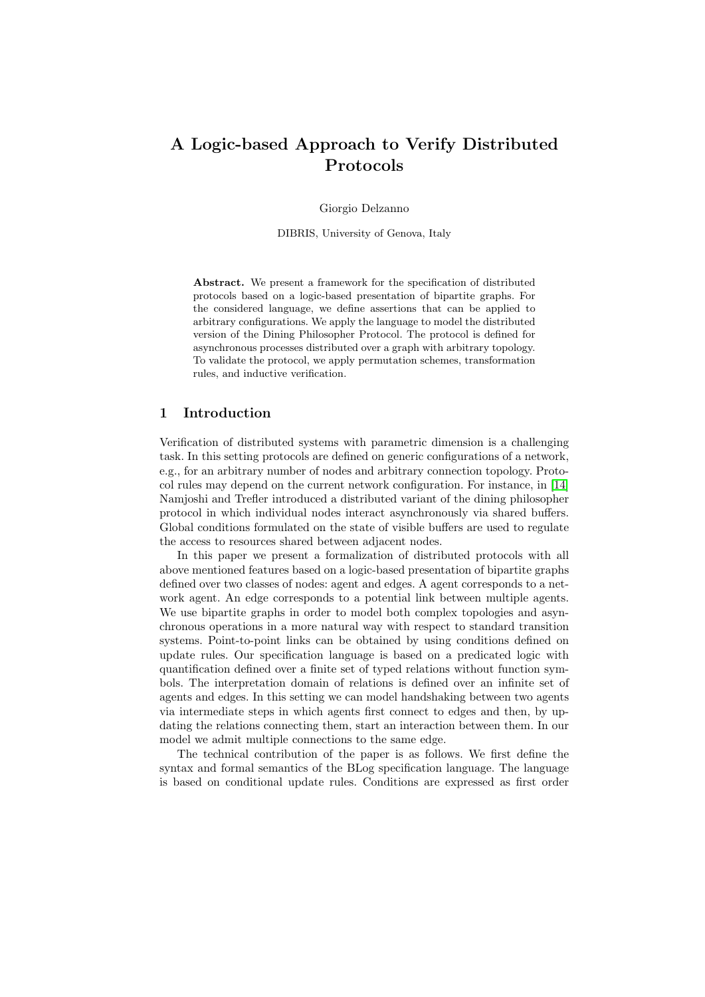# A Logic-based Approach to Verify Distributed Protocols

Giorgio Delzanno

DIBRIS, University of Genova, Italy

Abstract. We present a framework for the specification of distributed protocols based on a logic-based presentation of bipartite graphs. For the considered language, we define assertions that can be applied to arbitrary configurations. We apply the language to model the distributed version of the Dining Philosopher Protocol. The protocol is defined for asynchronous processes distributed over a graph with arbitrary topology. To validate the protocol, we apply permutation schemes, transformation rules, and inductive verification.

# 1 Introduction

Verification of distributed systems with parametric dimension is a challenging task. In this setting protocols are defined on generic configurations of a network, e.g., for an arbitrary number of nodes and arbitrary connection topology. Protocol rules may depend on the current network configuration. For instance, in [\[14\]](#page-14-0) Namjoshi and Trefler introduced a distributed variant of the dining philosopher protocol in which individual nodes interact asynchronously via shared buffers. Global conditions formulated on the state of visible buffers are used to regulate the access to resources shared between adjacent nodes.

In this paper we present a formalization of distributed protocols with all above mentioned features based on a logic-based presentation of bipartite graphs defined over two classes of nodes: agent and edges. A agent corresponds to a network agent. An edge corresponds to a potential link between multiple agents. We use bipartite graphs in order to model both complex topologies and asynchronous operations in a more natural way with respect to standard transition systems. Point-to-point links can be obtained by using conditions defined on update rules. Our specification language is based on a predicated logic with quantification defined over a finite set of typed relations without function symbols. The interpretation domain of relations is defined over an infinite set of agents and edges. In this setting we can model handshaking between two agents via intermediate steps in which agents first connect to edges and then, by updating the relations connecting them, start an interaction between them. In our model we admit multiple connections to the same edge.

The technical contribution of the paper is as follows. We first define the syntax and formal semantics of the BLog specification language. The language is based on conditional update rules. Conditions are expressed as first order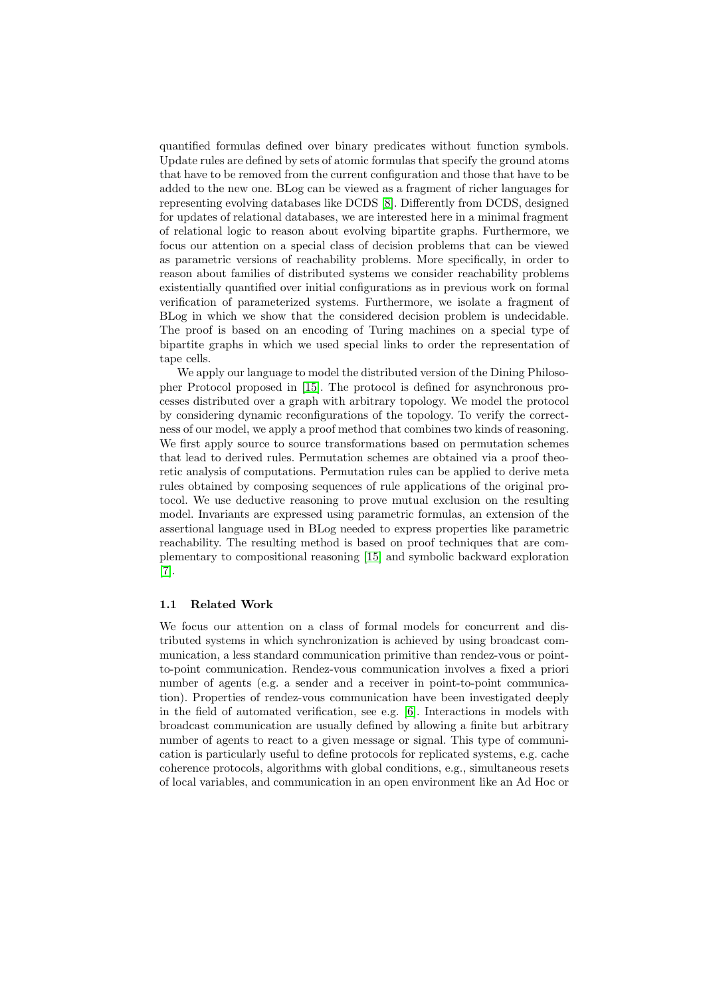quantified formulas defined over binary predicates without function symbols. Update rules are defined by sets of atomic formulas that specify the ground atoms that have to be removed from the current configuration and those that have to be added to the new one. BLog can be viewed as a fragment of richer languages for representing evolving databases like DCDS [\[8\]](#page-14-1). Differently from DCDS, designed for updates of relational databases, we are interested here in a minimal fragment of relational logic to reason about evolving bipartite graphs. Furthermore, we focus our attention on a special class of decision problems that can be viewed as parametric versions of reachability problems. More specifically, in order to reason about families of distributed systems we consider reachability problems existentially quantified over initial configurations as in previous work on formal verification of parameterized systems. Furthermore, we isolate a fragment of BLog in which we show that the considered decision problem is undecidable. The proof is based on an encoding of Turing machines on a special type of bipartite graphs in which we used special links to order the representation of tape cells.

We apply our language to model the distributed version of the Dining Philosopher Protocol proposed in [\[15\]](#page-14-2). The protocol is defined for asynchronous processes distributed over a graph with arbitrary topology. We model the protocol by considering dynamic reconfigurations of the topology. To verify the correctness of our model, we apply a proof method that combines two kinds of reasoning. We first apply source to source transformations based on permutation schemes that lead to derived rules. Permutation schemes are obtained via a proof theoretic analysis of computations. Permutation rules can be applied to derive meta rules obtained by composing sequences of rule applications of the original protocol. We use deductive reasoning to prove mutual exclusion on the resulting model. Invariants are expressed using parametric formulas, an extension of the assertional language used in BLog needed to express properties like parametric reachability. The resulting method is based on proof techniques that are complementary to compositional reasoning [\[15\]](#page-14-2) and symbolic backward exploration [\[7\]](#page-14-3).

#### 1.1 Related Work

We focus our attention on a class of formal models for concurrent and distributed systems in which synchronization is achieved by using broadcast communication, a less standard communication primitive than rendez-vous or pointto-point communication. Rendez-vous communication involves a fixed a priori number of agents (e.g. a sender and a receiver in point-to-point communication). Properties of rendez-vous communication have been investigated deeply in the field of automated verification, see e.g. [\[6\]](#page-14-4). Interactions in models with broadcast communication are usually defined by allowing a finite but arbitrary number of agents to react to a given message or signal. This type of communication is particularly useful to define protocols for replicated systems, e.g. cache coherence protocols, algorithms with global conditions, e.g., simultaneous resets of local variables, and communication in an open environment like an Ad Hoc or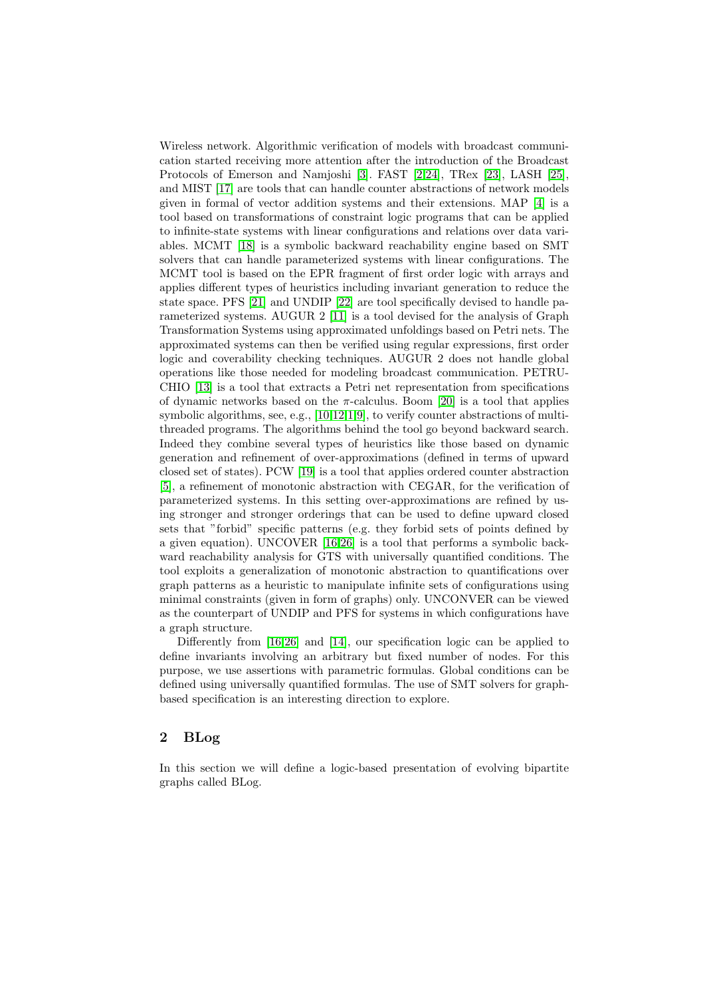Wireless network. Algorithmic verification of models with broadcast communication started receiving more attention after the introduction of the Broadcast Protocols of Emerson and Namjoshi [\[3\]](#page-14-5). FAST [\[2,](#page-14-6)[24\]](#page-15-0), TRex [\[23\]](#page-15-1), LASH [\[25\]](#page-15-2), and MIST [\[17\]](#page-15-3) are tools that can handle counter abstractions of network models given in formal of vector addition systems and their extensions. MAP [\[4\]](#page-14-7) is a tool based on transformations of constraint logic programs that can be applied to infinite-state systems with linear configurations and relations over data variables. MCMT [\[18\]](#page-15-4) is a symbolic backward reachability engine based on SMT solvers that can handle parameterized systems with linear configurations. The MCMT tool is based on the EPR fragment of first order logic with arrays and applies different types of heuristics including invariant generation to reduce the state space. PFS [\[21\]](#page-15-5) and UNDIP [\[22\]](#page-15-6) are tool specifically devised to handle parameterized systems. AUGUR 2 [\[11\]](#page-14-8) is a tool devised for the analysis of Graph Transformation Systems using approximated unfoldings based on Petri nets. The approximated systems can then be verified using regular expressions, first order logic and coverability checking techniques. AUGUR 2 does not handle global operations like those needed for modeling broadcast communication. PETRU-CHIO [\[13\]](#page-14-9) is a tool that extracts a Petri net representation from specifications of dynamic networks based on the  $\pi$ -calculus. Boom [\[20\]](#page-15-7) is a tool that applies symbolic algorithms, see, e.g., [\[10,](#page-14-10)[12,](#page-14-11)[1,](#page-14-12)[9\]](#page-14-13), to verify counter abstractions of multithreaded programs. The algorithms behind the tool go beyond backward search. Indeed they combine several types of heuristics like those based on dynamic generation and refinement of over-approximations (defined in terms of upward closed set of states). PCW [\[19\]](#page-15-8) is a tool that applies ordered counter abstraction [\[5\]](#page-14-14), a refinement of monotonic abstraction with CEGAR, for the verification of parameterized systems. In this setting over-approximations are refined by using stronger and stronger orderings that can be used to define upward closed sets that "forbid" specific patterns (e.g. they forbid sets of points defined by a given equation). UNCOVER [\[16,](#page-15-9)[26\]](#page-15-10) is a tool that performs a symbolic backward reachability analysis for GTS with universally quantified conditions. The tool exploits a generalization of monotonic abstraction to quantifications over graph patterns as a heuristic to manipulate infinite sets of configurations using minimal constraints (given in form of graphs) only. UNCONVER can be viewed as the counterpart of UNDIP and PFS for systems in which configurations have a graph structure.

Differently from [\[16,](#page-15-9)[26\]](#page-15-10) and [\[14\]](#page-14-0), our specification logic can be applied to define invariants involving an arbitrary but fixed number of nodes. For this purpose, we use assertions with parametric formulas. Global conditions can be defined using universally quantified formulas. The use of SMT solvers for graphbased specification is an interesting direction to explore.

## 2 BLog

In this section we will define a logic-based presentation of evolving bipartite graphs called BLog.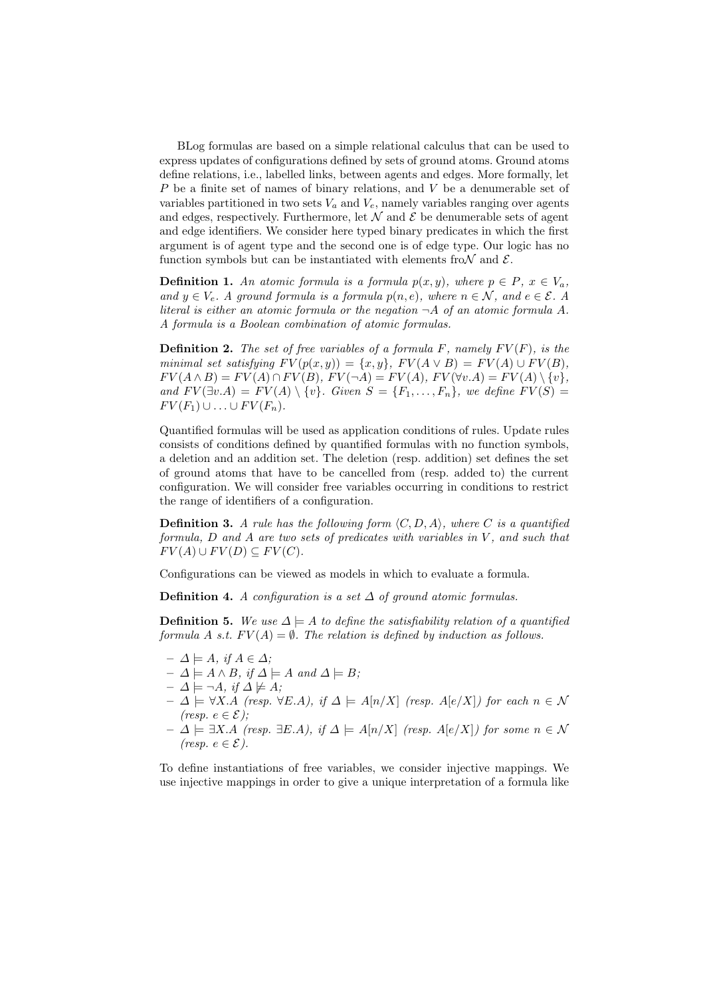BLog formulas are based on a simple relational calculus that can be used to express updates of configurations defined by sets of ground atoms. Ground atoms define relations, i.e., labelled links, between agents and edges. More formally, let P be a finite set of names of binary relations, and V be a denumerable set of variables partitioned in two sets  $V_a$  and  $V_e$ , namely variables ranging over agents and edges, respectively. Furthermore, let  $\mathcal N$  and  $\mathcal E$  be denumerable sets of agent and edge identifiers. We consider here typed binary predicates in which the first argument is of agent type and the second one is of edge type. Our logic has no function symbols but can be instantiated with elements from and  $\mathcal{E}$ .

**Definition 1.** An atomic formula is a formula  $p(x, y)$ , where  $p \in P$ ,  $x \in V_a$ , and  $y \in V_e$ . A ground formula is a formula  $p(n, e)$ , where  $n \in \mathcal{N}$ , and  $e \in \mathcal{E}$ . A literal is either an atomic formula or the negation  $\neg A$  of an atomic formula A. A formula is a Boolean combination of atomic formulas.

**Definition 2.** The set of free variables of a formula F, namely  $FV(F)$ , is the minimal set satisfying  $FV(p(x, y)) = \{x, y\}$ ,  $FV(A \vee B) = FV(A) \cup FV(B)$ ,  $FV(A \wedge B) = FV(A) \cap FV(B), FV(\neg A) = FV(A), FV(\forall v.A) = FV(A) \setminus \{v\},$ and  $FV(\exists v.A) = FV(A) \setminus \{v\}$ . Given  $S = \{F_1, \ldots, F_n\}$ , we define  $FV(S) =$  $FV(F_1) \cup \ldots \cup FV(F_n).$ 

Quantified formulas will be used as application conditions of rules. Update rules consists of conditions defined by quantified formulas with no function symbols, a deletion and an addition set. The deletion (resp. addition) set defines the set of ground atoms that have to be cancelled from (resp. added to) the current configuration. We will consider free variables occurring in conditions to restrict the range of identifiers of a configuration.

**Definition 3.** A rule has the following form  $\langle C, D, A \rangle$ , where C is a quantified formula, D and A are two sets of predicates with variables in V , and such that  $FV(A) \cup FV(D) \subseteq FV(C).$ 

Configurations can be viewed as models in which to evaluate a formula.

**Definition 4.** A configuration is a set  $\Delta$  of ground atomic formulas.

**Definition 5.** We use  $\Delta \models A$  to define the satisfiability relation of a quantified formula A s.t.  $FV(A) = \emptyset$ . The relation is defined by induction as follows.

- $\Delta \models A, \text{ if } A \in \Delta;$
- $\Delta \models A \wedge B$ , if  $\Delta \models A$  and  $\Delta \models B$ ;
- $\Delta \models \neg A, \text{ if } \Delta \not\models A;$
- $\Delta$   $\models$  ∀X.A (resp. ∀E.A), if  $\Delta$   $\models$  A[n/X] (resp. A[e/X]) for each  $n \in \mathcal{N}$ (resp.  $e \in \mathcal{E}$ );
- $\Delta \models \exists X.A$  (resp.  $\exists E.A$ ), if  $\Delta \models A[n/X]$  (resp.  $A[e/X]$ ) for some  $n \in \mathcal{N}$ (resp.  $e \in \mathcal{E}$ ).

To define instantiations of free variables, we consider injective mappings. We use injective mappings in order to give a unique interpretation of a formula like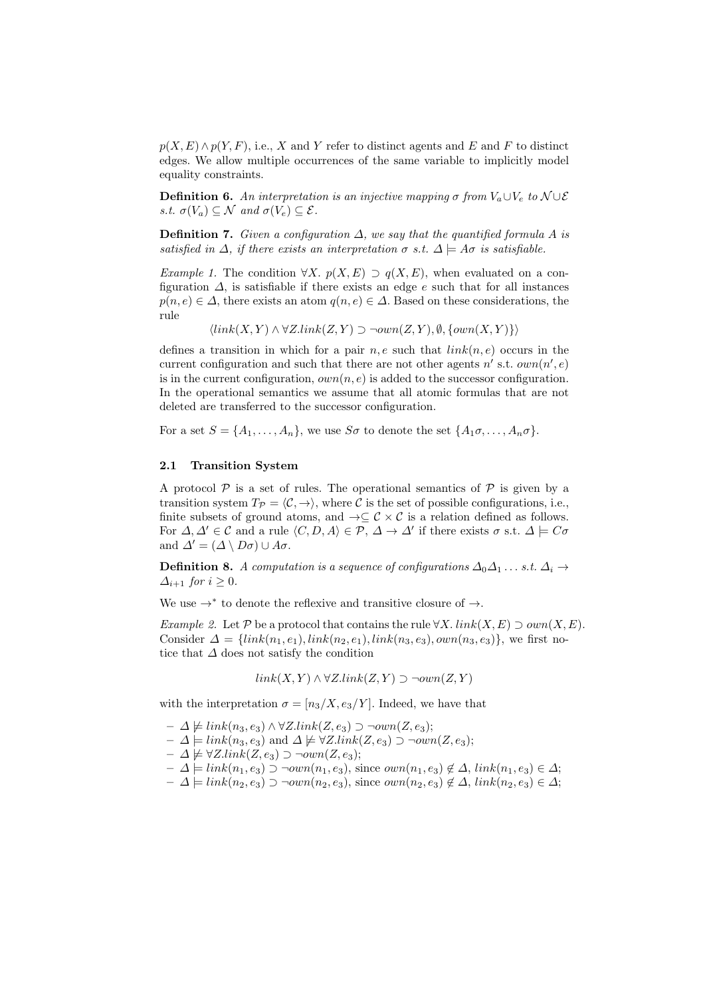$p(X, E) \wedge p(Y, F)$ , i.e., X and Y refer to distinct agents and E and F to distinct edges. We allow multiple occurrences of the same variable to implicitly model equality constraints.

**Definition 6.** An interpretation is an injective mapping  $\sigma$  from  $V_a \cup V_e$  to  $\mathcal{N} \cup \mathcal{E}$ s.t.  $\sigma(V_a) \subseteq \mathcal{N}$  and  $\sigma(V_e) \subseteq \mathcal{E}$ .

**Definition 7.** Given a configuration  $\Delta$ , we say that the quantified formula A is satisfied in  $\Delta$ , if there exists an interpretation  $\sigma$  s.t.  $\Delta \models A\sigma$  is satisfiable.

Example 1. The condition  $\forall X. p(X, E) \supset q(X, E)$ , when evaluated on a configuration  $\Delta$ , is satisfiable if there exists an edge e such that for all instances  $p(n, e) \in \Delta$ , there exists an atom  $q(n, e) \in \Delta$ . Based on these considerations, the rule

 $\{link(X, Y) \wedge \forall Zlink(Z, Y) \supset \neg own(Z, Y), \emptyset, \{own(X, Y)\}\}\$ 

defines a transition in which for a pair  $n, e$  such that  $link(n, e)$  occurs in the current configuration and such that there are not other agents  $n'$  s.t.  $own(n', e)$ is in the current configuration,  $own(n, e)$  is added to the successor configuration. In the operational semantics we assume that all atomic formulas that are not deleted are transferred to the successor configuration.

For a set  $S = \{A_1, \ldots, A_n\}$ , we use  $S\sigma$  to denote the set  $\{A_1\sigma, \ldots, A_n\sigma\}$ .

## 2.1 Transition System

A protocol  $\mathcal P$  is a set of rules. The operational semantics of  $\mathcal P$  is given by a transition system  $T_{\mathcal{P}} = \langle \mathcal{C}, \to \rangle$ , where C is the set of possible configurations, i.e., finite subsets of ground atoms, and  $\rightarrow \subseteq \mathcal{C} \times \mathcal{C}$  is a relation defined as follows. For  $\Delta, \Delta' \in \mathcal{C}$  and a rule  $\langle C, D, A \rangle \in \mathcal{P}, \Delta \to \Delta'$  if there exists  $\sigma$  s.t.  $\Delta \models C\sigma$ and  $\Delta' = (\Delta \setminus D\sigma) \cup A\sigma$ .

**Definition 8.** A computation is a sequence of configurations  $\Delta_0\Delta_1 \ldots s.t. \Delta_i \rightarrow$  $\Delta_{i+1}$  for  $i \geq 0$ .

We use  $\rightarrow^*$  to denote the reflexive and transitive closure of  $\rightarrow$ .

Example 2. Let P be a protocol that contains the rule  $\forall X.$  link $(X, E) \supset own(X, E)$ . Consider  $\Delta = \{link(n_1, e_1), link(n_2, e_1), link(n_3, e_3), own(n_3, e_3)\}\,$ , we first notice that  $\Delta$  does not satisfy the condition

$$
link(X, Y) \land \forall Zlink(Z, Y) \supset \neg own(Z, Y)
$$

with the interpretation  $\sigma = \frac{n_3}{X}, \frac{e_3}{Y}$ . Indeed, we have that

- $\Delta \neq link(n_3, e_3) \wedge \forall Zlink(Z, e_3) \supset \neg own(Z, e_3);$
- $\Delta \models link(n_3, e_3)$  and  $\Delta \not\models \forall Zlink(Z, e_3) \supset \neg own(Z, e_3);$
- $-$  ∆  $\not\models \forall Z.link(Z, e_3) \supset \neg own(Z, e_3);$
- $-\Delta \models link(n_1, e_3) \supset \neg own(n_1, e_3),$  since  $own(n_1, e_3) \notin \Delta, link(n_1, e_3) \in \Delta;$
- $-\Delta \models link(n_2, e_3) \supset \neg own(n_2, e_3),$  since  $own(n_2, e_3) \notin \Delta, link(n_2, e_3) \in \Delta;$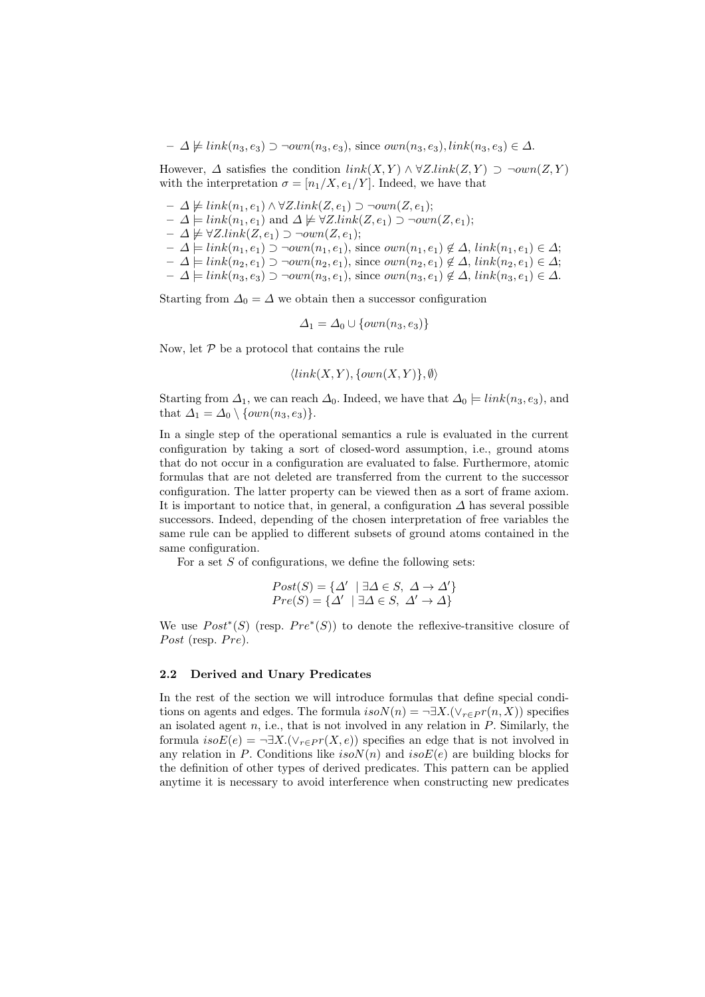$- \Delta \neq link(n_3, e_3) \supset \neg own(n_3, e_3)$ , since  $own(n_3, e_3), link(n_3, e_3) \in \Delta$ .

However,  $\Delta$  satisfies the condition  $link(X, Y) \wedge \forall Zlink(Z, Y) \supset \neg own(Z, Y)$ with the interpretation  $\sigma = [n_1/X, e_1/Y]$ . Indeed, we have that

 $- \Delta \not\models link(n_1, e_1) \wedge \forall Zlink(Z, e_1) \supset \neg own(Z, e_1);$  $- \Delta \models link(n_1, e_1)$  and  $\Delta \not\models \forall Zlink(Z, e_1) \supset \neg own(Z, e_1);$  $- \Delta \not\models \forall Zlink(Z, e_1) \supset \neg own(Z, e_1);$  $-\Delta \models link(n_1, e_1) \supset \neg own(n_1, e_1),$  since  $own(n_1, e_1) \notin \Delta, link(n_1, e_1) \in \Delta;$  $-\Delta \models link(n_2, e_1) \supset \neg own(n_2, e_1),$  since  $own(n_2, e_1) \notin \Delta, link(n_2, e_1) \in \Delta;$  $-\Delta \models link(n_3, e_3) \supset \neg own(n_3, e_1),$  since  $own(n_3, e_1) \notin \Delta$ ,  $link(n_3, e_1) \in \Delta$ .

Starting from  $\Delta_0 = \Delta$  we obtain then a successor configuration

$$
\Delta_1 = \Delta_0 \cup \{own(n_3, e_3)\}
$$

Now, let  $P$  be a protocol that contains the rule

$$
\langle link(X, Y), \{own(X, Y)\}, \emptyset \rangle
$$

Starting from  $\Delta_1$ , we can reach  $\Delta_0$ . Indeed, we have that  $\Delta_0 \models link(n_3, e_3)$ , and that  $\Delta_1 = \Delta_0 \setminus \{own(n_3, e_3)\}.$ 

In a single step of the operational semantics a rule is evaluated in the current configuration by taking a sort of closed-word assumption, i.e., ground atoms that do not occur in a configuration are evaluated to false. Furthermore, atomic formulas that are not deleted are transferred from the current to the successor configuration. The latter property can be viewed then as a sort of frame axiom. It is important to notice that, in general, a configuration  $\Delta$  has several possible successors. Indeed, depending of the chosen interpretation of free variables the same rule can be applied to different subsets of ground atoms contained in the same configuration.

For a set  $S$  of configurations, we define the following sets:

$$
Post(S) = \{ \Delta' \mid \exists \Delta \in S, \ \Delta \to \Delta' \}
$$
  

$$
Pre(S) = \{ \Delta' \mid \exists \Delta \in S, \ \Delta' \to \Delta \}
$$

We use  $Post^*(S)$  (resp.  $Pre^*(S))$  to denote the reflexive-transitive closure of Post (resp.  $Pre$ ).

#### 2.2 Derived and Unary Predicates

In the rest of the section we will introduce formulas that define special conditions on agents and edges. The formula  $isoN(n) = \neg \exists X.(\vee_{r \in P} r(n, X))$  specifies an isolated agent  $n$ , i.e., that is not involved in any relation in  $P$ . Similarly, the formula  $isoE(e) = \neg \exists X.(\vee_{r \in P} r(X,e))$  specifies an edge that is not involved in any relation in P. Conditions like  $isoN(n)$  and  $isoE(e)$  are building blocks for the definition of other types of derived predicates. This pattern can be applied anytime it is necessary to avoid interference when constructing new predicates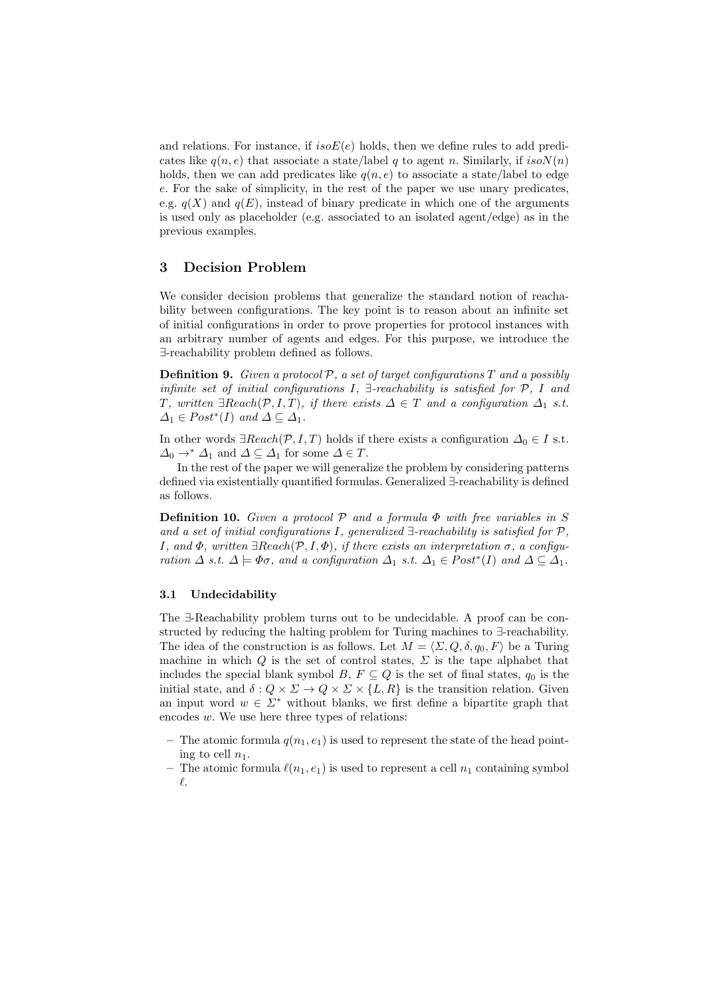and relations. For instance, if  $isoE(e)$  holds, then we define rules to add predicates like  $q(n, e)$  that associate a state/label q to agent n. Similarly, if  $isoN(n)$ holds, then we can add predicates like  $q(n, e)$  to associate a state/label to edge e. For the sake of simplicity, in the rest of the paper we use unary predicates, e.g.  $q(X)$  and  $q(E)$ , instead of binary predicate in which one of the arguments is used only as placeholder (e.g. associated to an isolated agent/edge) as in the previous examples.

# 3 Decision Problem

We consider decision problems that generalize the standard notion of reachability between configurations. The key point is to reason about an infinite set of initial configurations in order to prove properties for protocol instances with an arbitrary number of agents and edges. For this purpose, we introduce the ∃-reachability problem defined as follows.

**Definition 9.** Given a protocol  $P$ , a set of target configurations  $T$  and a possibly infinite set of initial configurations  $I$ ,  $\exists$ -reachability is satisfied for  $P$ ,  $I$  and T, written  $\exists$ Reach(P, I,T), if there exists  $\Delta \in T$  and a configuration  $\Delta_1$  s.t.  $\Delta_1 \in Post^*(I)$  and  $\Delta \subseteq \Delta_1$ .

In other words  $\exists Readh(\mathcal{P}, I, T)$  holds if there exists a configuration  $\Delta_0 \in I$  s.t.  $\Delta_0 \to^* \Delta_1$  and  $\Delta \subseteq \Delta_1$  for some  $\Delta \in T$ .

In the rest of the paper we will generalize the problem by considering patterns defined via existentially quantified formulas. Generalized ∃-reachability is defined as follows.

**Definition 10.** Given a protocol  $P$  and a formula  $\Phi$  with free variables in S and a set of initial configurations I, generalized  $\exists$ -reachability is satisfied for  $P$ , I, and  $\Phi$ , written  $\exists Readh(\mathcal{P}, I, \Phi)$ , if there exists an interpretation  $\sigma$ , a configuration  $\Delta$  s.t.  $\Delta \models \Phi \sigma$ , and a configuration  $\Delta_1$  s.t.  $\Delta_1 \in Post^*(I)$  and  $\Delta \subseteq \Delta_1$ .

## 3.1 Undecidability

The ∃-Reachability problem turns out to be undecidable. A proof can be constructed by reducing the halting problem for Turing machines to ∃-reachability. The idea of the construction is as follows. Let  $M = \langle \Sigma, Q, \delta, q_0, F \rangle$  be a Turing machine in which  $Q$  is the set of control states,  $\Sigma$  is the tape alphabet that includes the special blank symbol B,  $F \subseteq Q$  is the set of final states,  $q_0$  is the initial state, and  $\delta: Q \times \Sigma \to Q \times \Sigma \times \{L, R\}$  is the transition relation. Given an input word  $w \in \Sigma^*$  without blanks, we first define a bipartite graph that encodes  $w$ . We use here three types of relations:

- The atomic formula  $q(n_1, e_1)$  is used to represent the state of the head pointing to cell  $n_1$ .
- The atomic formula  $\ell(n_1, e_1)$  is used to represent a cell  $n_1$  containing symbol  $\ell.$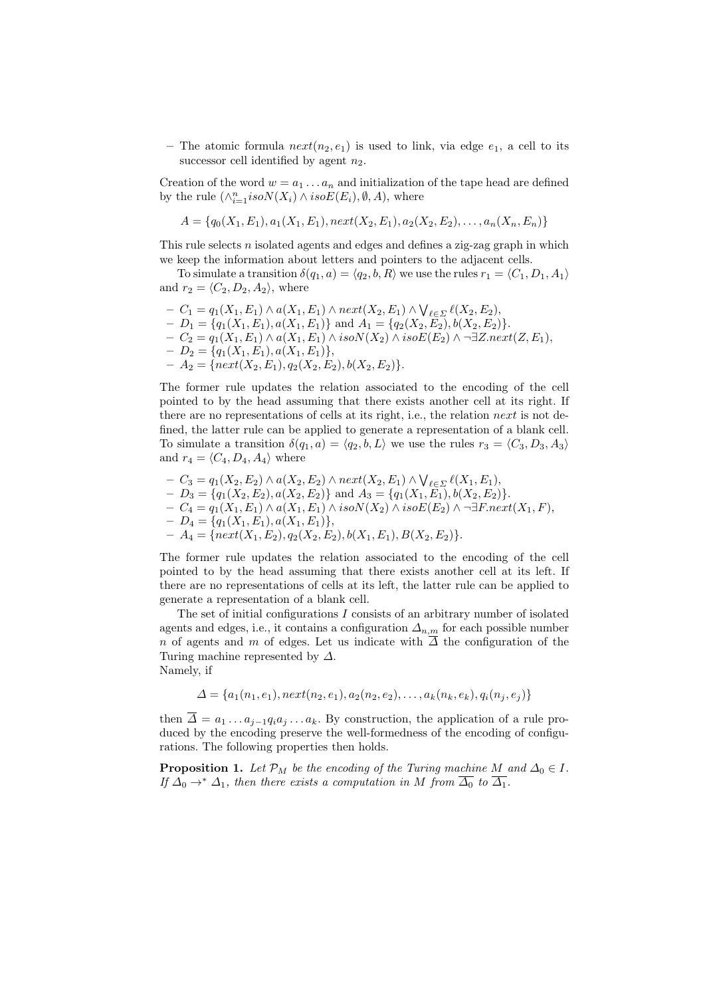– The atomic formula  $next(n_2, e_1)$  is used to link, via edge  $e_1$ , a cell to its successor cell identified by agent  $n_2$ .

Creation of the word  $w = a_1 \ldots a_n$  and initialization of the tape head are defined by the rule  $(\wedge_{i=1}^n isoN(X_i) \wedge isoE(E_i), \emptyset, A)$ , where

$$
A = \{q_0(X_1, E_1), a_1(X_1, E_1), next(X_2, E_1), a_2(X_2, E_2), \dots, a_n(X_n, E_n)\}\
$$

This rule selects  $n$  isolated agents and edges and defines a zig-zag graph in which we keep the information about letters and pointers to the adjacent cells.

To simulate a transition  $\delta(q_1, a) = \langle q_2, b, R \rangle$  we use the rules  $r_1 = \langle C_1, D_1, A_1 \rangle$ and  $r_2 = \langle C_2, D_2, A_2 \rangle$ , where

$$
- C_1 = q_1(X_1, E_1) \wedge a(X_1, E_1) \wedge next(X_2, E_1) \wedge \bigvee_{\ell \in \Sigma} \ell(X_2, E_2),
$$
  
\n
$$
- D_1 = \{q_1(X_1, E_1), a(X_1, E_1)\} \text{ and } A_1 = \{q_2(X_2, E_2), b(X_2, E_2)\}.
$$
  
\n
$$
- C_2 = q_1(X_1, E_1) \wedge a(X_1, E_1) \wedge iso(X_2) \wedge isoE(E_2) \wedge \neg \exists Z.next(Z, E_1),
$$
  
\n
$$
- D_2 = \{q_1(X_1, E_1), a(X_1, E_1)\},
$$
  
\n
$$
- A_2 = \{next(X_2, E_1), q_2(X_2, E_2), b(X_2, E_2)\}.
$$

The former rule updates the relation associated to the encoding of the cell pointed to by the head assuming that there exists another cell at its right. If there are no representations of cells at its right, i.e., the relation *next* is not defined, the latter rule can be applied to generate a representation of a blank cell. To simulate a transition  $\delta(q_1, a) = \langle q_2, b, L \rangle$  we use the rules  $r_3 = \langle C_3, D_3, A_3 \rangle$ and  $r_4 = \langle C_4, D_4, A_4 \rangle$  where

- $C_3 = q_1(X_2, E_2) \wedge a(X_2, E_2) \wedge next(X_2, E_1) \wedge \bigvee_{\ell \in \Sigma} \ell(X_1, E_1),$  $-D_3 = \{q_1(X_2, E_2), a(X_2, E_2)\}\$ and  $A_3 = \{q_1(X_1, E_1), b(X_2, E_2)\}.$  $- C_4 = q_1(X_1, E_1) \wedge a(X_1, E_1) \wedge isoN(X_2) \wedge isoE(E_2) \wedge \neg \exists F.next(X_1, F),$  $-D_4 = \{q_1(X_1, E_1), a(X_1, E_1)\},\$
- $A_4 = \{next(X_1, E_2), q_2(X_2, E_2), b(X_1, E_1), B(X_2, E_2)\}.$

The former rule updates the relation associated to the encoding of the cell pointed to by the head assuming that there exists another cell at its left. If there are no representations of cells at its left, the latter rule can be applied to generate a representation of a blank cell.

The set of initial configurations I consists of an arbitrary number of isolated agents and edges, i.e., it contains a configuration  $\Delta_{n,m}$  for each possible number n of agents and m of edges. Let us indicate with  $\overline{\Delta}$  the configuration of the Turing machine represented by  $\Delta$ .

Namely, if

$$
\Delta = \{a_1(n_1, e_1), next(n_2, e_1), a_2(n_2, e_2), \dots, a_k(n_k, e_k), q_i(n_j, e_j)\}\
$$

then  $\overline{\Delta} = a_1 \dots a_{i-1} q_i a_i \dots a_k$ . By construction, the application of a rule produced by the encoding preserve the well-formedness of the encoding of configurations. The following properties then holds.

**Proposition 1.** Let  $\mathcal{P}_M$  be the encoding of the Turing machine M and  $\Delta_0 \in I$ . If  $\Delta_0 \rightarrow^* \Delta_1$ , then there exists a computation in M from  $\overline{\Delta_0}$  to  $\overline{\Delta_1}$ .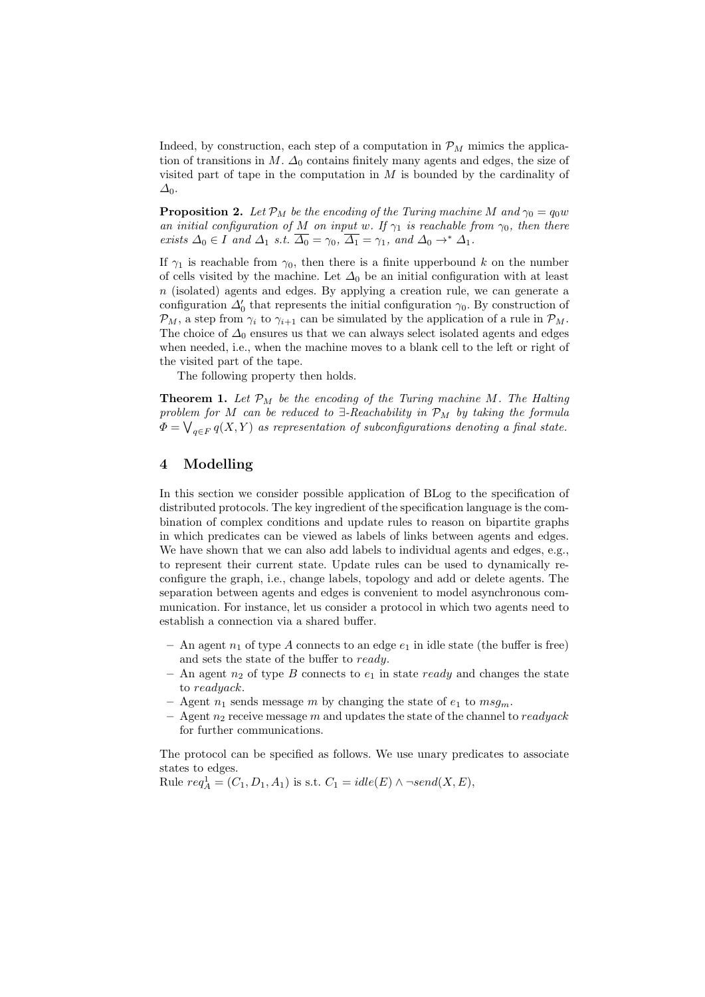Indeed, by construction, each step of a computation in  $\mathcal{P}_M$  mimics the application of transitions in M.  $\Delta_0$  contains finitely many agents and edges, the size of visited part of tape in the computation in  $M$  is bounded by the cardinality of  $\Delta_0$ .

**Proposition 2.** Let  $\mathcal{P}_M$  be the encoding of the Turing machine M and  $\gamma_0 = q_0w$ an initial configuration of M on input w. If  $\gamma_1$  is reachable from  $\gamma_0$ , then there exists  $\Delta_0 \in I$  and  $\Delta_1$  s.t.  $\overline{\Delta_0} = \gamma_0$ ,  $\overline{\Delta_1} = \gamma_1$ , and  $\Delta_0 \to^* \Delta_1$ .

If  $\gamma_1$  is reachable from  $\gamma_0$ , then there is a finite upperbound k on the number of cells visited by the machine. Let  $\Delta_0$  be an initial configuration with at least  $n$  (isolated) agents and edges. By applying a creation rule, we can generate a configuration  $\Delta'_0$  that represents the initial configuration  $\gamma_0$ . By construction of  $\mathcal{P}_M$ , a step from  $\gamma_i$  to  $\gamma_{i+1}$  can be simulated by the application of a rule in  $\mathcal{P}_M$ . The choice of  $\Delta_0$  ensures us that we can always select isolated agents and edges when needed, i.e., when the machine moves to a blank cell to the left or right of the visited part of the tape.

The following property then holds.

**Theorem 1.** Let  $\mathcal{P}_M$  be the encoding of the Turing machine M. The Halting problem for M can be reduced to  $\exists$ -Reachability in  $\mathcal{P}_M$  by taking the formula  $\Phi=\bigvee_{q\in F}q(X,Y)$  as representation of subconfigurations denoting a final state.

## 4 Modelling

In this section we consider possible application of BLog to the specification of distributed protocols. The key ingredient of the specification language is the combination of complex conditions and update rules to reason on bipartite graphs in which predicates can be viewed as labels of links between agents and edges. We have shown that we can also add labels to individual agents and edges, e.g., to represent their current state. Update rules can be used to dynamically reconfigure the graph, i.e., change labels, topology and add or delete agents. The separation between agents and edges is convenient to model asynchronous communication. For instance, let us consider a protocol in which two agents need to establish a connection via a shared buffer.

- An agent  $n_1$  of type A connects to an edge  $e_1$  in idle state (the buffer is free) and sets the state of the buffer to ready.
- An agent  $n_2$  of type B connects to  $e_1$  in state ready and changes the state to readyack.
- Agent  $n_1$  sends message m by changing the state of  $e_1$  to  $msg_m$ .
- Agent  $n_2$  receive message m and updates the state of the channel to readyack for further communications.

The protocol can be specified as follows. We use unary predicates to associate states to edges.

Rule  $req_A^1 = (C_1, D_1, A_1)$  is s.t.  $C_1 = idle(E) \land \neg send(X, E)$ ,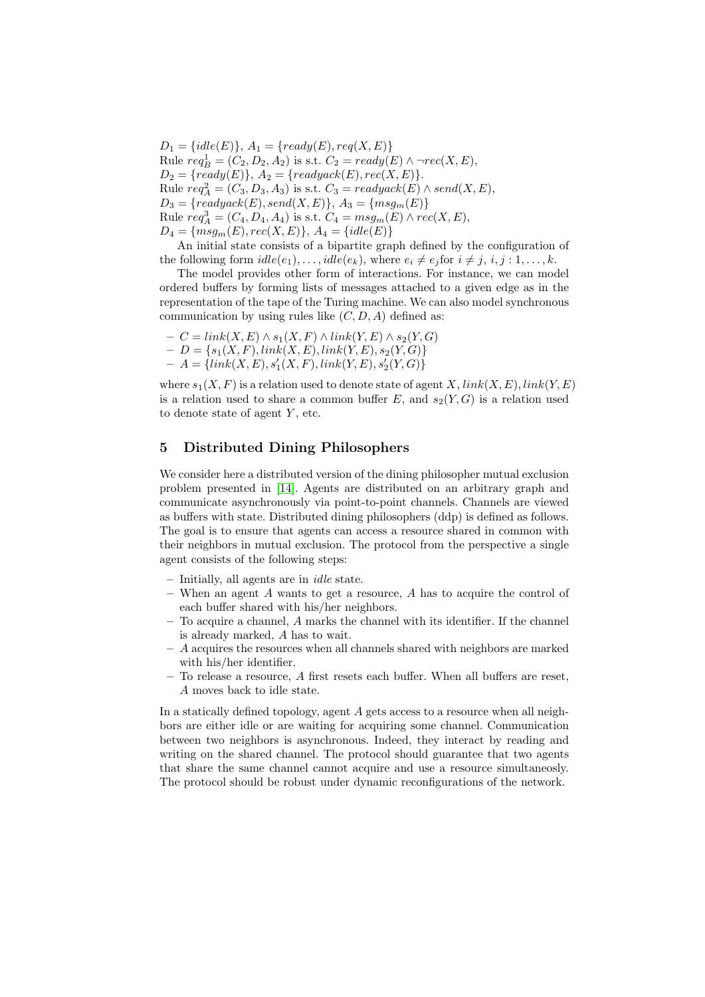$D_1 = \{idle(E)\}, A_1 = \{ready(E), req(X, E)\}$ Rule  $req_B^1 = (C_2, D_2, A_2)$  is s.t.  $C_2 = ready(E) \land \neg rec(X, E)$ ,  $D_2 = \{ready(E)\}, A_2 = \{readyack(E), rec(X, E)\}.$ Rule  $req_A^2 = (C_3, D_3, A_3)$  is s.t.  $C_3 = readyack(E) \land send(X, E)$ ,  $D_3 = {readyack(E), send(X, E)}, A_3 = {msg_m(E)}$ Rule  $req_A^3 = (C_4, D_4, A_4)$  is s.t.  $C_4 = msg_m(E) \land rec(X, E)$ ,  $D_4 = \{msg_m(E), rec(X, E)\}, A_4 = \{idle(E)\}$ 

An initial state consists of a bipartite graph defined by the configuration of the following form  $idle(e_1), \ldots, idle(e_k)$ , where  $e_i \neq e_j$  for  $i \neq j, i, j : 1, \ldots, k$ .

The model provides other form of interactions. For instance, we can model ordered buffers by forming lists of messages attached to a given edge as in the representation of the tape of the Turing machine. We can also model synchronous communication by using rules like  $(C, D, A)$  defined as:

 $-C = link(X, E) \wedge s_1(X, F) \wedge link(Y, E) \wedge s_2(Y, G)$ 

- $-D = \{s_1(X, F), link(X, E), link(Y, E), s_2(Y, G)\}\$
- $A = \{link(X, E), s'_{1}(X, F), link(Y, E), s'_{2}(Y, G) \}$

where  $s_1(X, F)$  is a relation used to denote state of agent X,  $link(X, E)$ ,  $link(Y, E)$ is a relation used to share a common buffer E, and  $s_2(Y, G)$  is a relation used to denote state of agent  $Y$ , etc.

## 5 Distributed Dining Philosophers

We consider here a distributed version of the dining philosopher mutual exclusion problem presented in [\[14\]](#page-14-0). Agents are distributed on an arbitrary graph and communicate asynchronously via point-to-point channels. Channels are viewed as buffers with state. Distributed dining philosophers (ddp) is defined as follows. The goal is to ensure that agents can access a resource shared in common with their neighbors in mutual exclusion. The protocol from the perspective a single agent consists of the following steps:

- $-$  Initially, all agents are in *idle* state.
- When an agent  $A$  wants to get a resource,  $A$  has to acquire the control of each buffer shared with his/her neighbors.
- $-$  To acquire a channel,  $\vec{A}$  marks the channel with its identifier. If the channel is already marked, A has to wait.
- $-$  A acquires the resources when all channels shared with neighbors are marked with his/her identifier.
- To release a resource, A first resets each buffer. When all buffers are reset, A moves back to idle state.

In a statically defined topology, agent A gets access to a resource when all neighbors are either idle or are waiting for acquiring some channel. Communication between two neighbors is asynchronous. Indeed, they interact by reading and writing on the shared channel. The protocol should guarantee that two agents that share the same channel cannot acquire and use a resource simultaneosly. The protocol should be robust under dynamic reconfigurations of the network.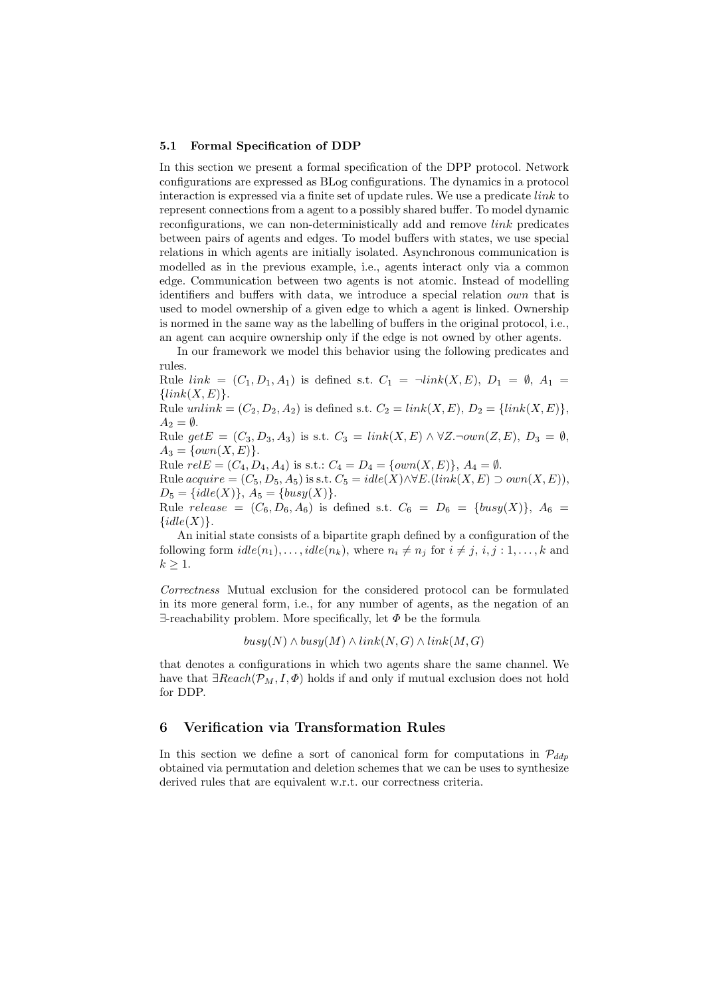#### 5.1 Formal Specification of DDP

In this section we present a formal specification of the DPP protocol. Network configurations are expressed as BLog configurations. The dynamics in a protocol interaction is expressed via a finite set of update rules. We use a predicate  $link$  to represent connections from a agent to a possibly shared buffer. To model dynamic reconfigurations, we can non-deterministically add and remove link predicates between pairs of agents and edges. To model buffers with states, we use special relations in which agents are initially isolated. Asynchronous communication is modelled as in the previous example, i.e., agents interact only via a common edge. Communication between two agents is not atomic. Instead of modelling identifiers and buffers with data, we introduce a special relation own that is used to model ownership of a given edge to which a agent is linked. Ownership is normed in the same way as the labelling of buffers in the original protocol, i.e., an agent can acquire ownership only if the edge is not owned by other agents.

In our framework we model this behavior using the following predicates and rules.

Rule  $link = (C_1, D_1, A_1)$  is defined s.t.  $C_1 = \neg link(X, E), D_1 = \emptyset, A_1 =$  $\{link(X, E)\}.$ Rule  $unlink = (C_2, D_2, A_2)$  is defined s.t.  $C_2 = link(X, E), D_2 = \{link(X, E)\},$  $A_2 = \emptyset$ . Rule  $getE = (C_3, D_3, A_3)$  is s.t.  $C_3 = link(X, E) \wedge \forall Z. \neg own(Z, E), D_3 = \emptyset$ ,  $A_3 = \{own(X, E)\}.$ Rule  $relE = (C_4, D_4, A_4)$  is s.t.:  $C_4 = D_4 = \{own(X, E)\}, A_4 = \emptyset$ . Rule  $acquire = (C_5, D_5, A_5)$  is s.t.  $C_5 = idle(X) \land \forall E.(link(X, E) \supset own(X, E)),$  $D_5 = \{idle(X)\}, A_5 = \{busy(X)\}.$ Rule release =  $(C_6, D_6, A_6)$  is defined s.t.  $C_6 = D_6 = \{busy(X)\}, A_6 =$  $\{idle(X)\}.$ 

An initial state consists of a bipartite graph defined by a configuration of the following form  $idle(n_1), \ldots, idle(n_k)$ , where  $n_i \neq n_j$  for  $i \neq j, i, j : 1, \ldots, k$  and  $k > 1$ .

Correctness Mutual exclusion for the considered protocol can be formulated in its more general form, i.e., for any number of agents, as the negation of an  $\exists$ -reachability problem. More specifically, let  $\Phi$  be the formula

 $busy(N) \wedge busy(M) \wedge link(N, G) \wedge link(M, G)$ 

that denotes a configurations in which two agents share the same channel. We have that  $\exists Readh(\mathcal{P}_M, I, \Phi)$  holds if and only if mutual exclusion does not hold for DDP.

## 6 Verification via Transformation Rules

In this section we define a sort of canonical form for computations in  $\mathcal{P}_{ddp}$ obtained via permutation and deletion schemes that we can be uses to synthesize derived rules that are equivalent w.r.t. our correctness criteria.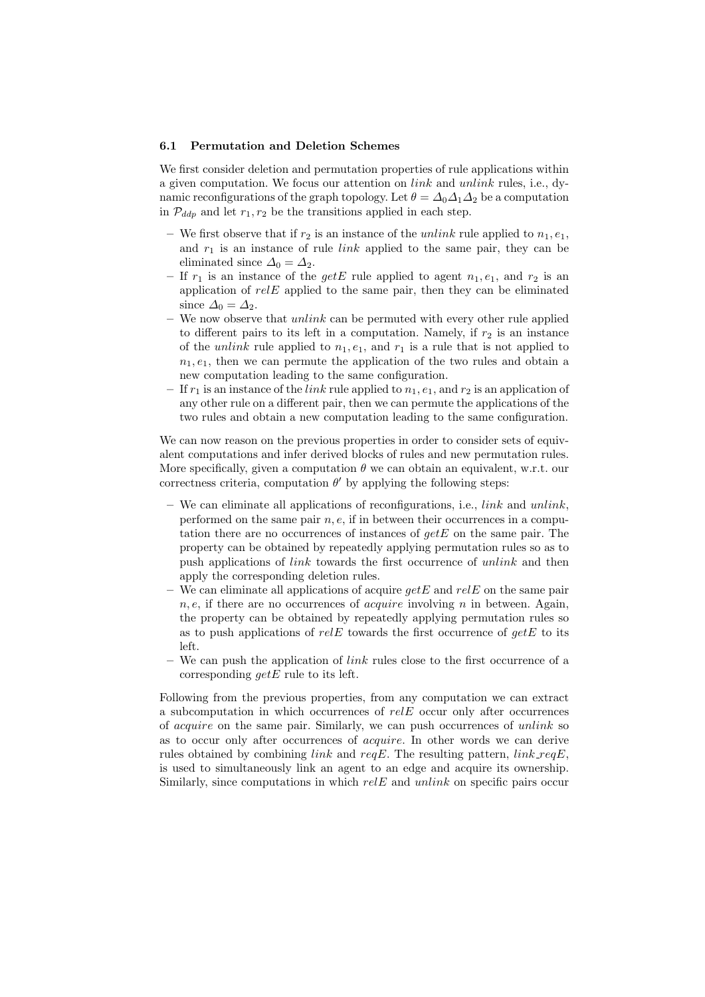#### 6.1 Permutation and Deletion Schemes

We first consider deletion and permutation properties of rule applications within a given computation. We focus our attention on link and unlink rules, i.e., dynamic reconfigurations of the graph topology. Let  $\theta = \Delta_0 \Delta_1 \Delta_2$  be a computation in  $\mathcal{P}_{ddp}$  and let  $r_1, r_2$  be the transitions applied in each step.

- We first observe that if  $r_2$  is an instance of the *unlink* rule applied to  $n_1, e_1$ , and  $r_1$  is an instance of rule *link* applied to the same pair, they can be eliminated since  $\Delta_0 = \Delta_2$ .
- If  $r_1$  is an instance of the getE rule applied to agent  $n_1, e_1$ , and  $r_2$  is an application of  $relE$  applied to the same pair, then they can be eliminated since  $\Delta_0 = \Delta_2$ .
- We now observe that *unlink* can be permuted with every other rule applied to different pairs to its left in a computation. Namely, if  $r_2$  is an instance of the *unlink* rule applied to  $n_1, e_1$ , and  $r_1$  is a rule that is not applied to  $n_1, e_1$ , then we can permute the application of the two rules and obtain a new computation leading to the same configuration.
- If  $r_1$  is an instance of the *link* rule applied to  $n_1, e_1$ , and  $r_2$  is an application of any other rule on a different pair, then we can permute the applications of the two rules and obtain a new computation leading to the same configuration.

We can now reason on the previous properties in order to consider sets of equivalent computations and infer derived blocks of rules and new permutation rules. More specifically, given a computation  $\theta$  we can obtain an equivalent, w.r.t. our correctness criteria, computation  $\theta'$  by applying the following steps:

- We can eliminate all applications of reconfigurations, i.e.,  $link$  and  $unlink$ . performed on the same pair  $n, e$ , if in between their occurrences in a computation there are no occurrences of instances of  $qetE$  on the same pair. The property can be obtained by repeatedly applying permutation rules so as to push applications of link towards the first occurrence of unlink and then apply the corresponding deletion rules.
- We can eliminate all applications of acquire  $qetE$  and  $relE$  on the same pair  $n, e$ , if there are no occurrences of *acquire* involving n in between. Again, the property can be obtained by repeatedly applying permutation rules so as to push applications of  $relE$  towards the first occurrence of  $getE$  to its left.
- We can push the application of *link* rules close to the first occurrence of a corresponding  $qetE$  rule to its left.

Following from the previous properties, from any computation we can extract a subcomputation in which occurrences of  $relE$  occur only after occurrences of *acquire* on the same pair. Similarly, we can push occurrences of *unlink* so as to occur only after occurrences of acquire. In other words we can derive rules obtained by combining *link* and reqE. The resulting pattern,  $link\_reqE$ , is used to simultaneously link an agent to an edge and acquire its ownership. Similarly, since computations in which  $relE$  and unlink on specific pairs occur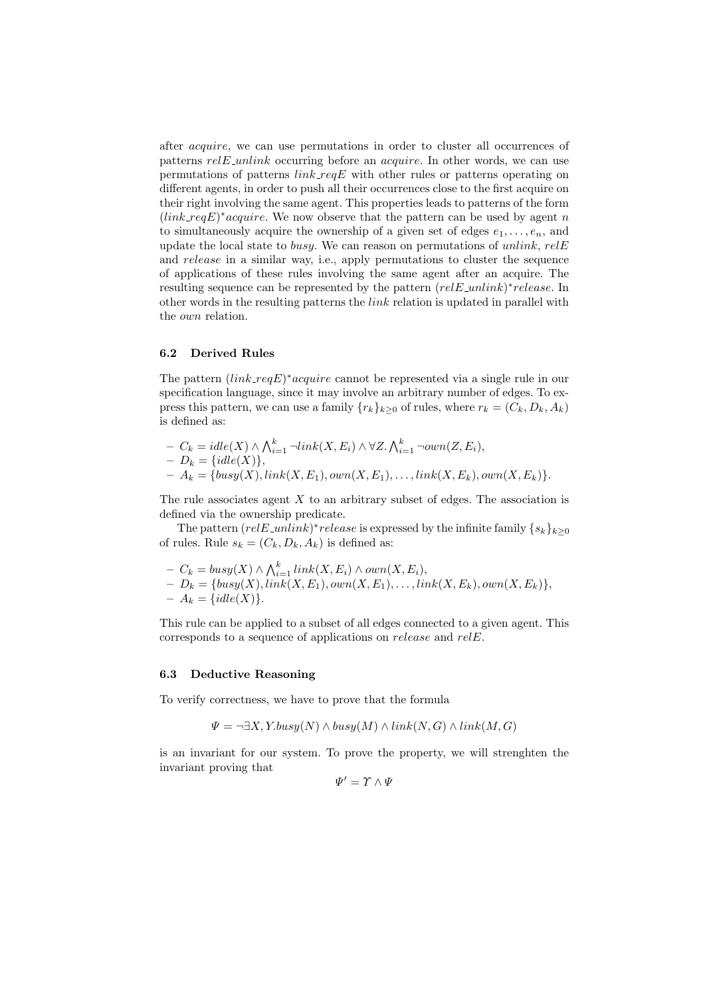after acquire, we can use permutations in order to cluster all occurrences of patterns relE\_unlink occurring before an *acquire*. In other words, we can use permutations of patterns  $link\_reqE$  with other rules or patterns operating on different agents, in order to push all their occurrences close to the first acquire on their right involving the same agent. This properties leads to patterns of the form  $(iink\_reqE)^*acquire.$  We now observe that the pattern can be used by agent n to simultaneously acquire the ownership of a given set of edges  $e_1, \ldots, e_n$ , and update the local state to *busy*. We can reason on permutations of *unlink*,  $relE$ and *release* in a similar way, i.e., apply permutations to cluster the sequence of applications of these rules involving the same agent after an acquire. The resulting sequence can be represented by the pattern  $(relE\_unlink)* release$ . In other words in the resulting patterns the link relation is updated in parallel with the own relation.

### 6.2 Derived Rules

The pattern  $link\_reqE)^*acquire$  cannot be represented via a single rule in our specification language, since it may involve an arbitrary number of edges. To express this pattern, we can use a family  $\{r_k\}_{k>0}$  of rules, where  $r_k = (C_k, D_k, A_k)$ is defined as:

 $-C_k = idle(X) \wedge \bigwedge_{i=1}^k \neg link(X, E_i) \wedge \forall Z. \bigwedge_{i=1}^k \neg own(Z, E_i),$  $-D_k = \{idle(X)\},\$  $- A_k = \{busy(X), link(X, E_1), own(X, E_1), ..., link(X, E_k), own(X, E_k)\}.$ 

The rule associates agent  $X$  to an arbitrary subset of edges. The association is defined via the ownership predicate.

The pattern  $(relE\_unlink)* release$  is expressed by the infinite family  $\{s_k\}_{k\geq 0}$ of rules. Rule  $s_k = (C_k, D_k, A_k)$  is defined as:

$$
- C_k = busy(X) \wedge \bigwedge_{i=1}^k link(X, E_i) \wedge own(X, E_i),
$$
  
-  $D_k = \{busy(X), link(X, E_1), own(X, E_1), \dots, link(X, E_k), own(X, E_k)\},$   
-  $A_k = \{idle(X)\}.$ 

This rule can be applied to a subset of all edges connected to a given agent. This corresponds to a sequence of applications on release and relE.

## 6.3 Deductive Reasoning

To verify correctness, we have to prove that the formula

$$
\Psi = \neg \exists X, Y.busy(N) \land busy(M) \land link(N, G) \land link(M, G)
$$

is an invariant for our system. To prove the property, we will strenghten the invariant proving that

$$
\varPsi' = \varUpsilon \wedge \varPsi
$$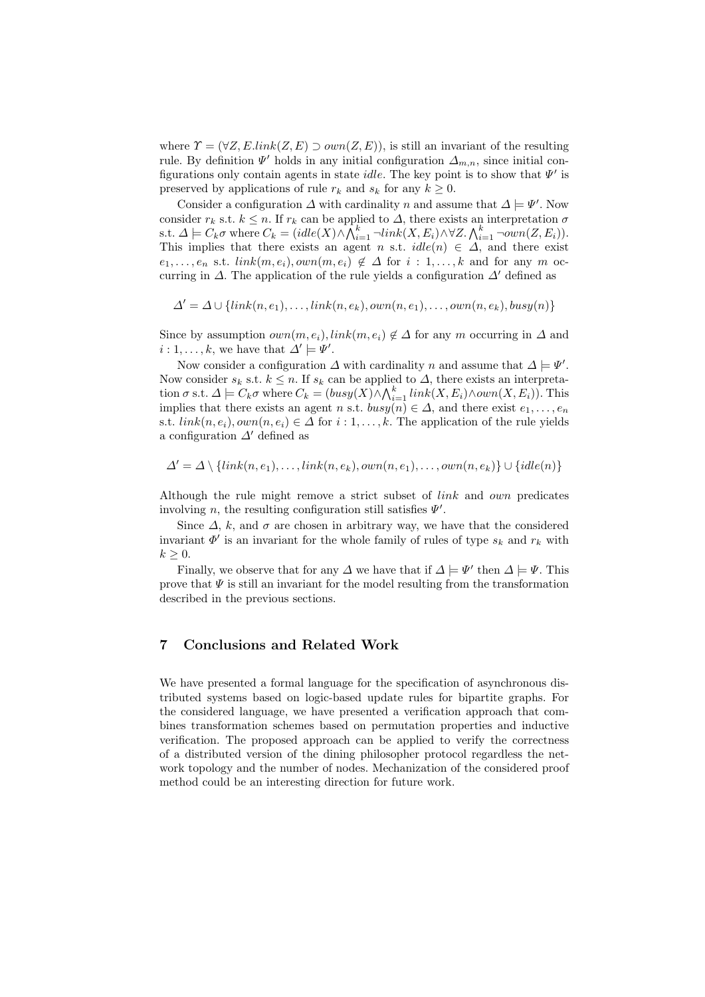where  $\Upsilon = (\forall Z, E଼.\text{link}(Z, E) \supset \text{own}(Z, E)),$  is still an invariant of the resulting rule. By definition  $\Psi'$  holds in any initial configuration  $\Delta_{m,n}$ , since initial configurations only contain agents in state *idle*. The key point is to show that  $\Psi'$  is preserved by applications of rule  $r_k$  and  $s_k$  for any  $k \geq 0$ .

Consider a configuration  $\Delta$  with cardinality n and assume that  $\Delta \models \Psi'$ . Now consider  $r_k$  s.t.  $k \leq n$ . If  $r_k$  can be applied to  $\Delta$ , there exists an interpretation  $\sigma$ s.t.  $\Delta \models C_k \sigma$  where  $C_k = (idle(X) \land \bigwedge_{i=1}^k \neg link(X, E_i) \land \forall Z. \bigwedge_{i=1}^k \neg own(Z, E_i)).$ This implies that there exists an agent n s.t.  $idle(n) \in \Delta$ , and there exist  $e_1, \ldots, e_n$  s.t.  $link(m, e_i), own(m, e_i) \notin \Delta$  for  $i: 1, \ldots, k$  and for any m occurring in  $\Delta$ . The application of the rule yields a configuration  $\Delta'$  defined as

 $\Delta' = \Delta \cup \{link(n, e_1), \ldots, link(n, e_k), own(n, e_1), \ldots, own(n, e_k), busy(n)\}\$ 

Since by assumption  $own(m, e_i), link(m, e_i) \notin \Delta$  for any m occurring in  $\Delta$  and  $i:1,\ldots,k$ , we have that  $\Delta' \models \Psi'.$ 

Now consider a configuration  $\Delta$  with cardinality n and assume that  $\Delta \models \Psi'$ . Now consider  $s_k$  s.t.  $k \leq n$ . If  $s_k$  can be applied to  $\Delta$ , there exists an interpretation  $\sigma$  s.t.  $\Delta \models C_k \sigma$  where  $C_k = (busy(X) \land \bigwedge_{i=1}^k link(X, E_i) \land own(X, E_i)).$  This implies that there exists an agent n s.t.  $busy(n) \in \Delta$ , and there exist  $e_1, \ldots, e_n$ s.t.  $link(n, e_i), own(n, e_i) \in \Delta$  for  $i: 1, \ldots, k$ . The application of the rule yields a configuration  $\Delta'$  defined as

 $\Delta' = \Delta \setminus \{link(n, e_1), \ldots, link(n, e_k), own(n, e_1), \ldots, own(n, e_k)\} \cup \{idle(n)\}$ 

Although the rule might remove a strict subset of link and own predicates involving n, the resulting configuration still satisfies  $\Psi'$ .

Since  $\Delta$ , k, and  $\sigma$  are chosen in arbitrary way, we have that the considered invariant  $\Phi'$  is an invariant for the whole family of rules of type  $s_k$  and  $r_k$  with  $k \geq 0$ .

Finally, we observe that for any  $\Delta$  we have that if  $\Delta \models \Psi'$  then  $\Delta \models \Psi$ . This prove that  $\Psi$  is still an invariant for the model resulting from the transformation described in the previous sections.

# 7 Conclusions and Related Work

We have presented a formal language for the specification of asynchronous distributed systems based on logic-based update rules for bipartite graphs. For the considered language, we have presented a verification approach that combines transformation schemes based on permutation properties and inductive verification. The proposed approach can be applied to verify the correctness of a distributed version of the dining philosopher protocol regardless the network topology and the number of nodes. Mechanization of the considered proof method could be an interesting direction for future work.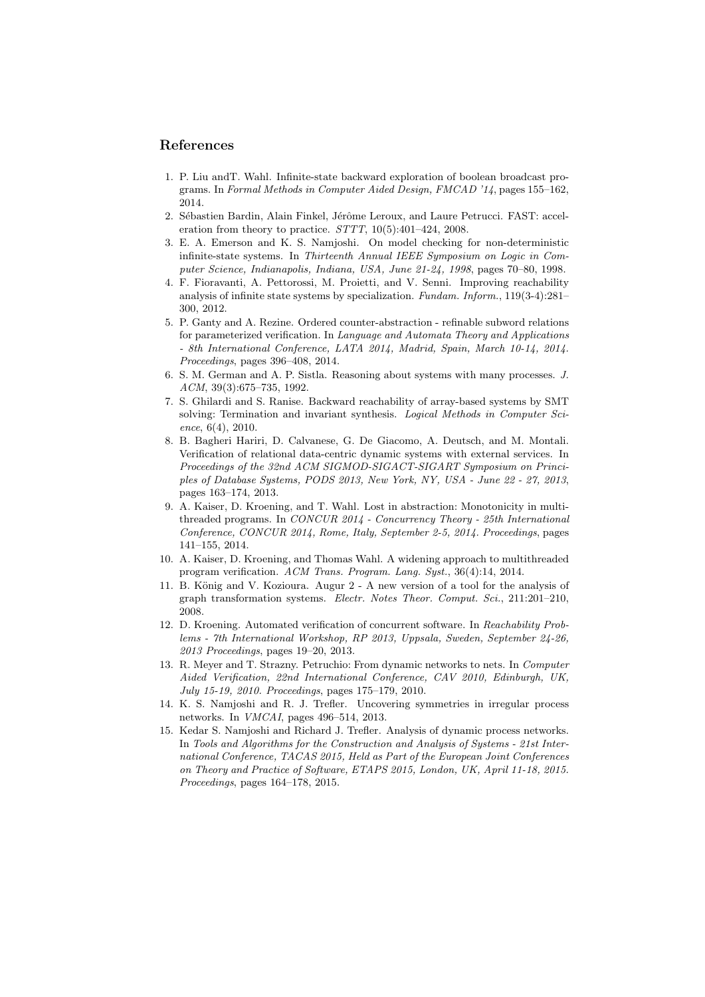## References

- <span id="page-14-12"></span>1. P. Liu andT. Wahl. Infinite-state backward exploration of boolean broadcast programs. In Formal Methods in Computer Aided Design, FMCAD '14, pages 155–162, 2014.
- <span id="page-14-6"></span>2. Sébastien Bardin, Alain Finkel, Jérôme Leroux, and Laure Petrucci. FAST: acceleration from theory to practice. STTT, 10(5):401–424, 2008.
- <span id="page-14-5"></span>3. E. A. Emerson and K. S. Namjoshi. On model checking for non-deterministic infinite-state systems. In Thirteenth Annual IEEE Symposium on Logic in Computer Science, Indianapolis, Indiana, USA, June 21-24, 1998, pages 70–80, 1998.
- <span id="page-14-7"></span>4. F. Fioravanti, A. Pettorossi, M. Proietti, and V. Senni. Improving reachability analysis of infinite state systems by specialization. Fundam. Inform., 119(3-4):281– 300, 2012.
- <span id="page-14-14"></span>5. P. Ganty and A. Rezine. Ordered counter-abstraction - refinable subword relations for parameterized verification. In Language and Automata Theory and Applications - 8th International Conference, LATA 2014, Madrid, Spain, March 10-14, 2014. Proceedings, pages 396–408, 2014.
- <span id="page-14-4"></span>6. S. M. German and A. P. Sistla. Reasoning about systems with many processes. J. ACM, 39(3):675–735, 1992.
- <span id="page-14-3"></span>7. S. Ghilardi and S. Ranise. Backward reachability of array-based systems by SMT solving: Termination and invariant synthesis. Logical Methods in Computer Science, 6(4), 2010.
- <span id="page-14-1"></span>8. B. Bagheri Hariri, D. Calvanese, G. De Giacomo, A. Deutsch, and M. Montali. Verification of relational data-centric dynamic systems with external services. In Proceedings of the 32nd ACM SIGMOD-SIGACT-SIGART Symposium on Principles of Database Systems, PODS 2013, New York, NY, USA - June 22 - 27, 2013, pages 163–174, 2013.
- <span id="page-14-13"></span>9. A. Kaiser, D. Kroening, and T. Wahl. Lost in abstraction: Monotonicity in multithreaded programs. In CONCUR 2014 - Concurrency Theory - 25th International Conference, CONCUR 2014, Rome, Italy, September 2-5, 2014. Proceedings, pages 141–155, 2014.
- <span id="page-14-10"></span>10. A. Kaiser, D. Kroening, and Thomas Wahl. A widening approach to multithreaded program verification. ACM Trans. Program. Lang. Syst., 36(4):14, 2014.
- <span id="page-14-8"></span>11. B. König and V. Kozioura. Augur 2 - A new version of a tool for the analysis of graph transformation systems. Electr. Notes Theor. Comput. Sci., 211:201–210, 2008.
- <span id="page-14-11"></span>12. D. Kroening. Automated verification of concurrent software. In Reachability Problems - 7th International Workshop, RP 2013, Uppsala, Sweden, September 24-26, 2013 Proceedings, pages 19–20, 2013.
- <span id="page-14-9"></span>13. R. Meyer and T. Strazny. Petruchio: From dynamic networks to nets. In Computer Aided Verification, 22nd International Conference, CAV 2010, Edinburgh, UK, July 15-19, 2010. Proceedings, pages 175–179, 2010.
- <span id="page-14-0"></span>14. K. S. Namjoshi and R. J. Trefler. Uncovering symmetries in irregular process networks. In VMCAI, pages 496–514, 2013.
- <span id="page-14-2"></span>15. Kedar S. Namjoshi and Richard J. Trefler. Analysis of dynamic process networks. In Tools and Algorithms for the Construction and Analysis of Systems - 21st International Conference, TACAS 2015, Held as Part of the European Joint Conferences on Theory and Practice of Software, ETAPS 2015, London, UK, April 11-18, 2015. Proceedings, pages 164–178, 2015.